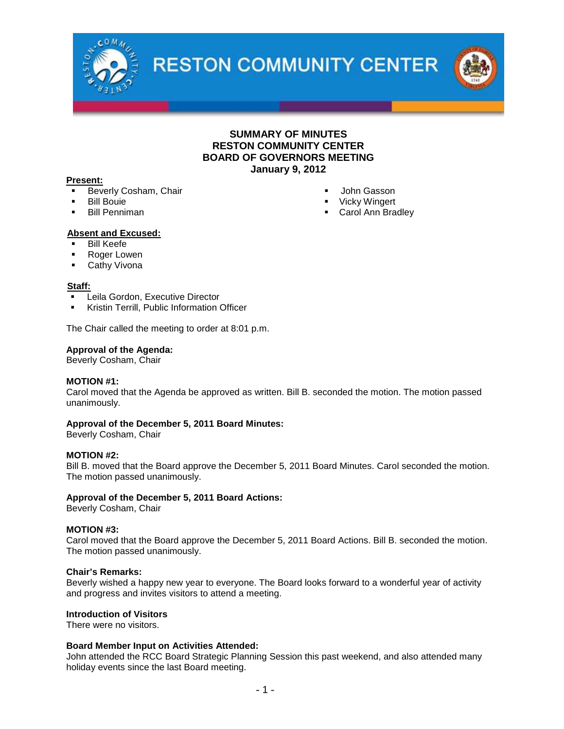

**RESTON COMMUNITY CENTER** 



### **SUMMARY OF MINUTES RESTON COMMUNITY CENTER BOARD OF GOVERNORS MEETING January 9, 2012**

### **Present:**

- Beverly Cosham, Chair
- Bill Bouie
- Bill Penniman
- John Gasson **•** Vicky Wingert
- Carol Ann Bradley

### **Absent and Excused:**

- Bill Keefe
- Roger Lowen
- **Cathy Vivona**

#### **Staff:**

- Leila Gordon, Executive Director
- Kristin Terrill, Public Information Officer

The Chair called the meeting to order at 8:01 p.m.

### **Approval of the Agenda:**

Beverly Cosham, Chair

### **MOTION #1:**

Carol moved that the Agenda be approved as written. Bill B. seconded the motion. The motion passed unanimously.

### **Approval of the December 5, 2011 Board Minutes:**

Beverly Cosham, Chair

### **MOTION #2:**

Bill B. moved that the Board approve the December 5, 2011 Board Minutes. Carol seconded the motion. The motion passed unanimously.

### **Approval of the December 5, 2011 Board Actions:**

Beverly Cosham, Chair

#### **MOTION #3:**

Carol moved that the Board approve the December 5, 2011 Board Actions. Bill B. seconded the motion. The motion passed unanimously.

### **Chair's Remarks:**

Beverly wished a happy new year to everyone. The Board looks forward to a wonderful year of activity and progress and invites visitors to attend a meeting.

### **Introduction of Visitors**

There were no visitors.

#### **Board Member Input on Activities Attended:**

John attended the RCC Board Strategic Planning Session this past weekend, and also attended many holiday events since the last Board meeting.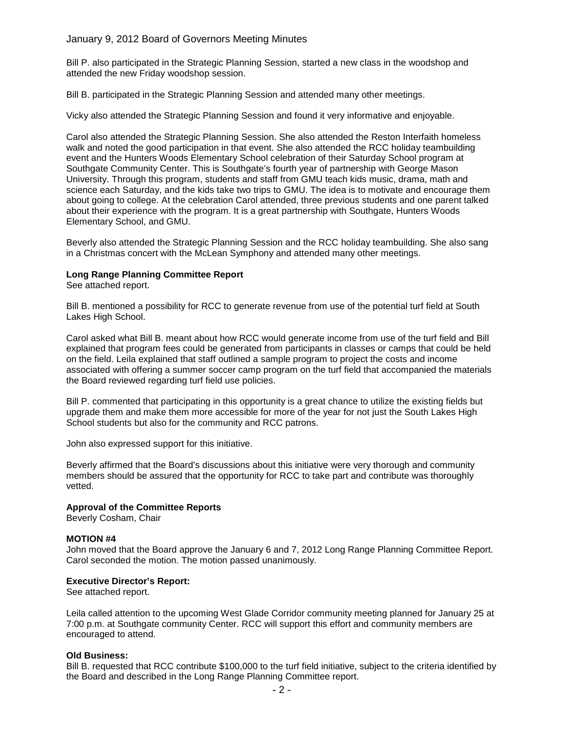### January 9, 2012 Board of Governors Meeting Minutes

Bill P. also participated in the Strategic Planning Session, started a new class in the woodshop and attended the new Friday woodshop session.

Bill B. participated in the Strategic Planning Session and attended many other meetings.

Vicky also attended the Strategic Planning Session and found it very informative and enjoyable.

Carol also attended the Strategic Planning Session. She also attended the Reston Interfaith homeless walk and noted the good participation in that event. She also attended the RCC holiday teambuilding event and the Hunters Woods Elementary School celebration of their Saturday School program at Southgate Community Center. This is Southgate's fourth year of partnership with George Mason University. Through this program, students and staff from GMU teach kids music, drama, math and science each Saturday, and the kids take two trips to GMU. The idea is to motivate and encourage them about going to college. At the celebration Carol attended, three previous students and one parent talked about their experience with the program. It is a great partnership with Southgate, Hunters Woods Elementary School, and GMU.

Beverly also attended the Strategic Planning Session and the RCC holiday teambuilding. She also sang in a Christmas concert with the McLean Symphony and attended many other meetings.

### **Long Range Planning Committee Report**

See attached report.

Bill B. mentioned a possibility for RCC to generate revenue from use of the potential turf field at South Lakes High School.

Carol asked what Bill B. meant about how RCC would generate income from use of the turf field and Bill explained that program fees could be generated from participants in classes or camps that could be held on the field. Leila explained that staff outlined a sample program to project the costs and income associated with offering a summer soccer camp program on the turf field that accompanied the materials the Board reviewed regarding turf field use policies.

Bill P. commented that participating in this opportunity is a great chance to utilize the existing fields but upgrade them and make them more accessible for more of the year for not just the South Lakes High School students but also for the community and RCC patrons.

John also expressed support for this initiative.

Beverly affirmed that the Board's discussions about this initiative were very thorough and community members should be assured that the opportunity for RCC to take part and contribute was thoroughly vetted.

### **Approval of the Committee Reports**

Beverly Cosham, Chair

### **MOTION #4**

John moved that the Board approve the January 6 and 7, 2012 Long Range Planning Committee Report. Carol seconded the motion. The motion passed unanimously.

### **Executive Director's Report:**

See attached report.

Leila called attention to the upcoming West Glade Corridor community meeting planned for January 25 at 7:00 p.m. at Southgate community Center. RCC will support this effort and community members are encouraged to attend.

### **Old Business:**

Bill B. requested that RCC contribute \$100,000 to the turf field initiative, subject to the criteria identified by the Board and described in the Long Range Planning Committee report.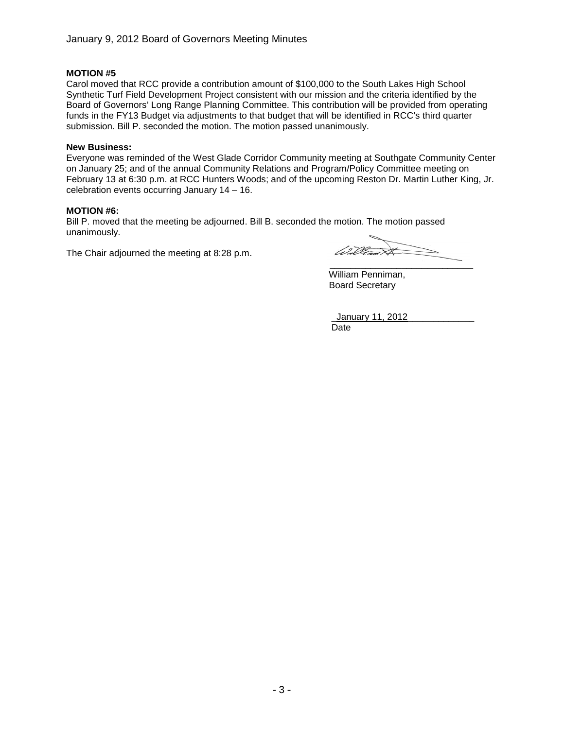### **MOTION #5**

Carol moved that RCC provide a contribution amount of \$100,000 to the South Lakes High School Synthetic Turf Field Development Project consistent with our mission and the criteria identified by the Board of Governors' Long Range Planning Committee. This contribution will be provided from operating funds in the FY13 Budget via adjustments to that budget that will be identified in RCC's third quarter submission. Bill P. seconded the motion. The motion passed unanimously.

### **New Business:**

Everyone was reminded of the West Glade Corridor Community meeting at Southgate Community Center on January 25; and of the annual Community Relations and Program/Policy Committee meeting on February 13 at 6:30 p.m. at RCC Hunters Woods; and of the upcoming Reston Dr. Martin Luther King, Jr. celebration events occurring January 14 – 16.

### **MOTION #6:**

Bill P. moved that the meeting be adjourned. Bill B. seconded the motion. The motion passed unanimously.

The Chair adjourned the meeting at 8:28 p.m.

Wille  $\overline{\phantom{a}}$  , where  $\overline{\phantom{a}}$  , where  $\overline{\phantom{a}}$  ,  $\overline{\phantom{a}}$  ,  $\overline{\phantom{a}}$  ,  $\overline{\phantom{a}}$  ,  $\overline{\phantom{a}}$  ,  $\overline{\phantom{a}}$  ,  $\overline{\phantom{a}}$  ,  $\overline{\phantom{a}}$  ,  $\overline{\phantom{a}}$  ,  $\overline{\phantom{a}}$  ,  $\overline{\phantom{a}}$  ,  $\overline{\phantom{a}}$  ,  $\overline{\phantom{a}}$  ,

William Penniman, Board Secretary

\_January 11, 2012\_\_\_\_\_\_\_\_\_\_\_\_\_ Date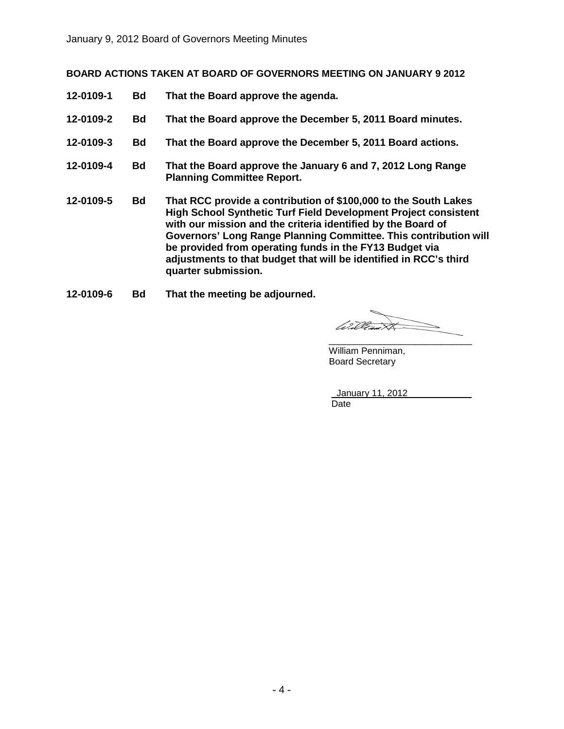**BOARD ACTIONS TAKEN AT BOARD OF GOVERNORS MEETING ON JANUARY 9 2012**

- **12-0109-1 Bd That the Board approve the agenda.**
- **12-0109-2 Bd That the Board approve the December 5, 2011 Board minutes.**
- **12-0109-3 Bd That the Board approve the December 5, 2011 Board actions.**
- **12-0109-4 Bd That the Board approve the January 6 and 7, 2012 Long Range Planning Committee Report.**
- **12-0109-5 Bd That RCC provide a contribution of \$100,000 to the South Lakes High School Synthetic Turf Field Development Project consistent with our mission and the criteria identified by the Board of Governors' Long Range Planning Committee. This contribution will be provided from operating funds in the FY13 Budget via adjustments to that budget that will be identified in RCC's third quarter submission.**
- **12-0109-6 Bd That the meeting be adjourned.**

William \_\_\_\_\_\_\_\_\_\_\_\_\_\_\_\_\_\_\_\_\_\_\_\_\_\_\_\_

William Penniman, Board Secretary

January 11, 2012 Date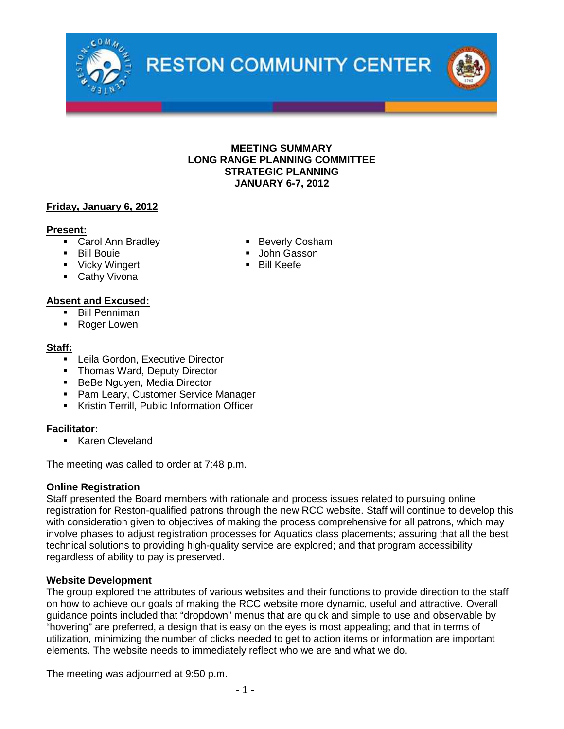



## **Friday, January 6, 2012**

### **Present:**

- Carol Ann Bradley **Beverly Cosham**
- Bill Bouie **International Wasser** John Gasson
- Vicky Wingert **Bill Keefe**
- **Cathy Vivona**

## **Absent and Excused:**

- Bill Penniman
- Roger Lowen

## **Staff:**

- **-** Leila Gordon, Executive Director
- Thomas Ward, Deputy Director
- **BeBe Nguyen, Media Director**
- **Pam Leary, Customer Service Manager**
- **Kristin Terrill, Public Information Officer**

# **Facilitator:**

**Karen Cleveland** 

The meeting was called to order at 7:48 p.m.

## **Online Registration**

Staff presented the Board members with rationale and process issues related to pursuing online registration for Reston-qualified patrons through the new RCC website. Staff will continue to develop this with consideration given to objectives of making the process comprehensive for all patrons, which may involve phases to adjust registration processes for Aquatics class placements; assuring that all the best technical solutions to providing high-quality service are explored; and that program accessibility regardless of ability to pay is preserved.

## **Website Development**

The group explored the attributes of various websites and their functions to provide direction to the staff on how to achieve our goals of making the RCC website more dynamic, useful and attractive. Overall guidance points included that "dropdown" menus that are quick and simple to use and observable by "hovering" are preferred, a design that is easy on the eyes is most appealing; and that in terms of utilization, minimizing the number of clicks needed to get to action items or information are important elements. The website needs to immediately reflect who we are and what we do.

The meeting was adjourned at 9:50 p.m.

- 1 -

- 
- 
-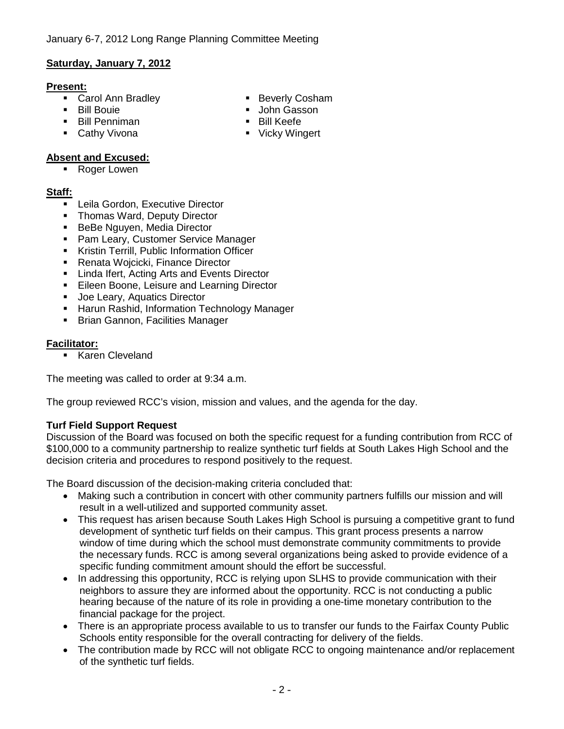# **Saturday, January 7, 2012**

## **Present:**

- Carol Ann Bradley **Beverly Cosham**
- 
- **Bill Penniman**
- **Cathy Vivona Cathy Vivona Vicky Wingert**

# **Absent and Excused:**

■ Roger Lowen

# **Staff:**

- **EXECUTE:** Leila Gordon, Executive Director
- Thomas Ward, Deputy Director
- **BeBe Nguyen, Media Director**
- **Pam Leary, Customer Service Manager**
- **Kristin Terrill, Public Information Officer**
- Renata Wojcicki, Finance Director
- **EXECUTE:** Linda Ifert, Acting Arts and Events Director
- **Eileen Boone, Leisure and Learning Director**
- **Joe Leary, Aquatics Director**
- **Harun Rashid, Information Technology Manager**
- **Brian Gannon, Facilities Manager**

# **Facilitator:**

Karen Cleveland

The meeting was called to order at 9:34 a.m.

The group reviewed RCC's vision, mission and values, and the agenda for the day.

# **Turf Field Support Request**

Discussion of the Board was focused on both the specific request for a funding contribution from RCC of \$100,000 to a community partnership to realize synthetic turf fields at South Lakes High School and the decision criteria and procedures to respond positively to the request.

The Board discussion of the decision-making criteria concluded that:

- Making such a contribution in concert with other community partners fulfills our mission and will result in a well-utilized and supported community asset.
- This request has arisen because South Lakes High School is pursuing a competitive grant to fund development of synthetic turf fields on their campus. This grant process presents a narrow window of time during which the school must demonstrate community commitments to provide the necessary funds. RCC is among several organizations being asked to provide evidence of a specific funding commitment amount should the effort be successful.
- In addressing this opportunity, RCC is relying upon SLHS to provide communication with their neighbors to assure they are informed about the opportunity. RCC is not conducting a public hearing because of the nature of its role in providing a one-time monetary contribution to the financial package for the project.
- There is an appropriate process available to us to transfer our funds to the Fairfax County Public Schools entity responsible for the overall contracting for delivery of the fields.
- The contribution made by RCC will not obligate RCC to ongoing maintenance and/or replacement of the synthetic turf fields.
- 
- **Bill Bouie Communist Communist Communist Communist Communist Communist Communist Communist Communist Communist Communist Communist Communist Communist Communist Communist Communist Communist Communist Communist Communist** 
	-
	-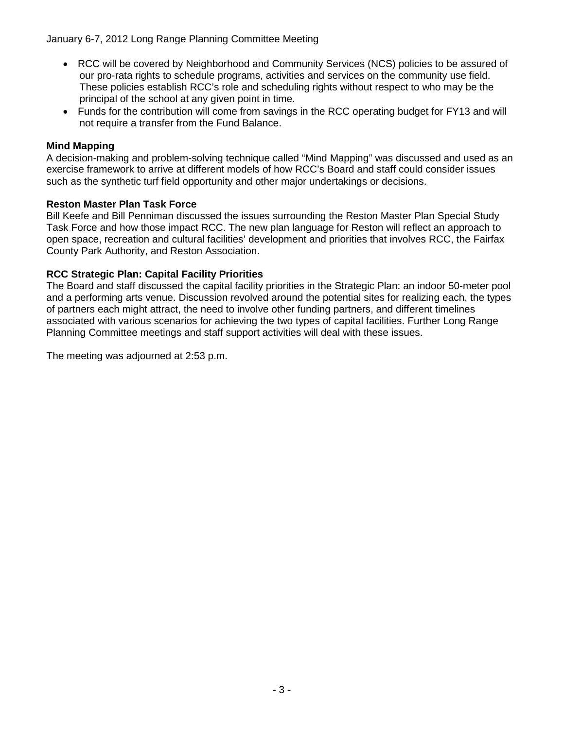January 6-7, 2012 Long Range Planning Committee Meeting

- RCC will be covered by Neighborhood and Community Services (NCS) policies to be assured of our pro-rata rights to schedule programs, activities and services on the community use field. These policies establish RCC's role and scheduling rights without respect to who may be the principal of the school at any given point in time.
- Funds for the contribution will come from savings in the RCC operating budget for FY13 and will not require a transfer from the Fund Balance.

# **Mind Mapping**

A decision-making and problem-solving technique called "Mind Mapping" was discussed and used as an exercise framework to arrive at different models of how RCC's Board and staff could consider issues such as the synthetic turf field opportunity and other major undertakings or decisions.

# **Reston Master Plan Task Force**

Bill Keefe and Bill Penniman discussed the issues surrounding the Reston Master Plan Special Study Task Force and how those impact RCC. The new plan language for Reston will reflect an approach to open space, recreation and cultural facilities' development and priorities that involves RCC, the Fairfax County Park Authority, and Reston Association.

# **RCC Strategic Plan: Capital Facility Priorities**

The Board and staff discussed the capital facility priorities in the Strategic Plan: an indoor 50-meter pool and a performing arts venue. Discussion revolved around the potential sites for realizing each, the types of partners each might attract, the need to involve other funding partners, and different timelines associated with various scenarios for achieving the two types of capital facilities. Further Long Range Planning Committee meetings and staff support activities will deal with these issues.

The meeting was adjourned at 2:53 p.m.